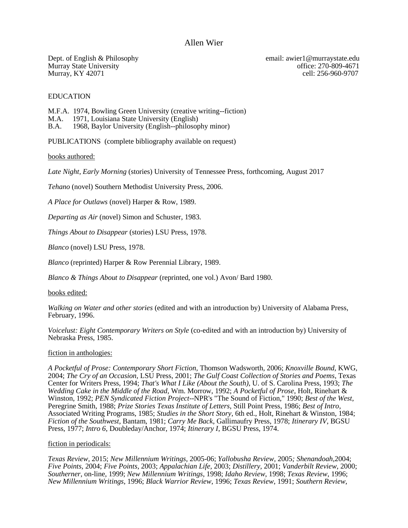# Allen Wier

Murray, KY 42071

Dept. of English & Philosophy email: awier1@murraystate.edu Murray State University<br>
Murray, KY 42071 cell: 256-960-9707

EDUCATION

M.F.A. 1974, Bowling Green University (creative writing--fiction) 1971, Louisiana State University (English) B.A. 1968, Baylor University (English--philosophy minor)

PUBLICATIONS (complete bibliography available on request)

books authored:

*Late Night, Early Morning* (stories) University of Tennessee Press, forthcoming, August 2017

*Tehano* (novel) Southern Methodist University Press, 2006.

*A Place for Outlaws* (novel) Harper & Row, 1989.

*Departing as Air* (novel) Simon and Schuster, 1983.

*Things About to Disappear* (stories) LSU Press, 1978.

*Blanco* (novel) LSU Press, 1978.

*Blanco* (reprinted) Harper & Row Perennial Library, 1989.

*Blanco & Things About to Disappear* (reprinted, one vol.) Avon/ Bard 1980.

books edited:

*Walking on Water and other stories* (edited and with an introduction by) University of Alabama Press, February, 1996.

*Voicelust: Eight Contemporary Writers on Style* (co-edited and with an introduction by) University of Nebraska Press, 1985.

### fiction in anthologies:

*A Pocketful of Prose: Contemporary Short Fiction,* Thomson Wadsworth, 2006; *Knoxville Bound,* KWG, 2004; *The Cry of an Occasion,* LSU Press, 2001; *The Gulf Coast Collection of Stories and Poems*, Texas Center for Writers Press, 1994; *That's What I Like (About the South)*, U. of S. Carolina Press, 1993; *The Wedding Cake in the Middle of the Road*, Wm. Morrow, 1992; *A Pocketful of Prose*, Holt, Rinehart & Winston, 1992; *PEN Syndicated Fiction Project*--NPR's "The Sound of Fiction," 1990; *Best of the West*, Peregrine Smith, 1988; *Prize Stories Texas Institute of Letters*, Still Point Press, 1986; *Best of Intro*, Associated Writing Programs, 1985; *Studies in the Short Story*, 6th ed., Holt, Rinehart & Winston, 1984; *Fiction of the Southwest*, Bantam, 1981; *Carry Me Back*, Gallimaufry Press, 1978; *Itinerary IV*, BGSU Press, 1977; *Intro 6*, Doubleday/Anchor, 1974; *Itinerary I*, BGSU Press, 1974.

#### fiction in periodicals:

*Texas Review,* 2015; *New Millennium Writings,* 2005-06; *Yallobusha Review,* 2005*; Shenandoah,*2004; *Five Points,* 2004; *Five Points*, 2003; *Appalachian Life,* 2003; *Distillery,* 2001; *Vanderbilt Review,* 2000; *Southerner,* on-line, 1999; *New Millennium Writings*, 1998; *Idaho Review*, 1998; *Texas Review*, 1996; *New Millennium Writings*, 1996; *Black Warrior Review*, 1996; *Texas Review*, 1991; *Southern Review*,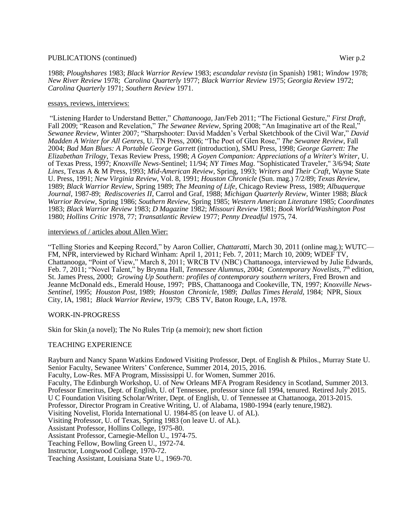### PUBLICATIONS (continued) Wier p.2

1988; *Ploughshares* 1983; *Black Warrior Review* 1983; *escandalar revista* (in Spanish) 1981; *Window* 1978; *New River Review* 1978; *Carolina Quarterly* 1977; *Black Warrior Review* 1975; *Georgia Review* 1972; *Carolina Quarterly* 1971; *Southern Review* 1971.

### essays, reviews, interviews:

"Listening Harder to Understand Better," *Chattanooga,* Jan/Feb 2011; "The Fictional Gesture," *First Draft,*  Fall 2009; "Reason and Revelation," *The Sewanee Review*, Spring 2008; "An Imaginative art of the Real," *Sewanee Review,* Winter 2007; "Sharpshooter: David Madden's Verbal Sketchbook of the Civil War," *David Madden A Writer for All Genres,* U. TN Press, 2006; "The Poet of Glen Rose," *The Sewanee Review*, Fall 2004; *Bad Man Blues: A Portable George Garrett* (introduction), SMU Press, 1998; *George Garrett: The Elizabethan Trilogy*, Texas Review Press, 1998; *A Goyen Companion: Appreciations of a Writer's Writer*, U. of Texas Press, 1997; *Knoxville News-*Sentinel; 11/94; *NY Times Mag*. "Sophisticated Traveler," 3/6/94; *State Lines*, Texas A & M Press, 1993; *Mid-American Review*, Spring, 1993; *Writers and Their Craft*, Wayne State U. Press, 1991; *New Virginia Review*, Vol. 8, 1991; *Houston Chronicle* (Sun. mag.) 7/2/89; *Texas Review*, 1989; *Black Warrior Review*, Spring 1989; *The Meaning of Life*, Chicago Review Press, 1989; *Albuquerque Journal*, 1987-89; *Rediscoveries II*, Carrol and Graf, 1988; *Michigan Quarterly Review*, Winter 1988; *Black Warrior Review*, Spring 1986; *Southern Review*, Spring 1985; *Western American Literature* 1985; *Coordinates* 1983; *Black Warrior Review* 1983; *D Magazine* 1982; *Missouri Review* 1981; *Book World/Washington Post* 1980; *Hollins Critic* 1978, 77; *Transatlantic Review* 1977; *Penny Dreadful* 1975, 74.

### interviews of / articles about Allen Wier:

"Telling Stories and Keeping Record," by Aaron Collier, *Chattaratti*, March 30, 2011 (online mag.); WUTC— FM, NPR, interviewed by Richard Winham: April 1, 2011; Feb. 7, 2011; March 10, 2009; WDEF TV, Chattanooga, "Point of View," March 8, 2011; WRCB TV (NBC) Chattanooga, interviewed by Julie Edwards, Feb. 7, 2011; "Novel Talent," by Brynna Hall, *Tennessee Alumnus,* 2004; *Contemporary Novelists*, 7th edition, St. James Press, 2000; *Growing Up Southern: profiles of contemporary southern writers*, Fred Brown and Jeanne McDonald eds., Emerald House, 1997; PBS, Chattanooga and Cookeville, TN, 1997; *Knoxville News-Sentinel*, 1995; *Houston Post*, 1989; *Houston Chronicle*, 1989; *Dallas Times Herald*, 1984; NPR, Sioux City, IA, 1981; *Black Warrior Review*, 1979; CBS TV, Baton Rouge, LA, 1978.

### WORK-IN-PROGRESS

Skin for Skin (a novel); The No Rules Trip (a memoir); new short fiction

## TEACHING EXPERIENCE

Rayburn and Nancy Spann Watkins Endowed Visiting Professor, Dept. of English & Philos., Murray State U. Senior Faculty, Sewanee Writers' Conference, Summer 2014, 2015, 2016.

Faculty, Low-Res. MFA Program, Mississippi U. for Women, Summer 2016.

Faculty, The Edinburgh Workshop, U. of New Orleans MFA Program Residency in Scotland, Summer 2013. Professor Emeritus, Dept. of English, U. of Tennessee, professor since fall 1994, tenured. Retired July 2015. U C Foundation Visiting Scholar/Writer, Dept. of English, U. of Tennessee at Chattanooga, 2013-2015.

Professor, Director Program in Creative Writing, U. of Alabama, 1980-1994 (early tenure,1982).

Visiting Novelist, Florida International U. 1984-85 (on leave U. of AL).

Visiting Professor, U. of Texas, Spring 1983 (on leave U. of AL).

Assistant Professor, Hollins College, 1975-80.

Assistant Professor, Carnegie-Mellon U., 1974-75.

Teaching Fellow, Bowling Green U., 1972-74.

Instructor, Longwood College, 1970-72.

Teaching Assistant, Louisiana State U., 1969-70.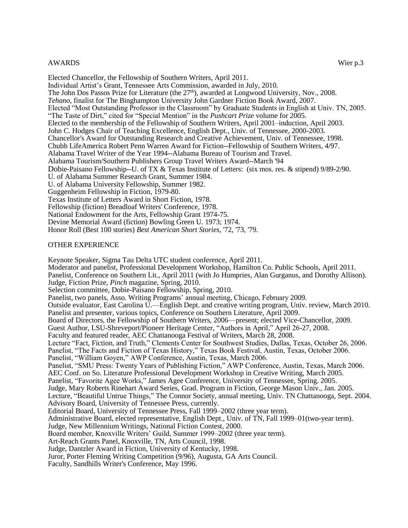## AWARDS Wier p.3

Elected Chancellor, the Fellowship of Southern Writers, April 2011. Individual Artist's Grant, Tennessee Arts Commission, awarded in July, 2010. The John Dos Passos Prize for Literature (the 27<sup>th</sup>), awarded at Longwood University, Nov., 2008. *Tehano*, finalist for The Binghampton University John Gardner Fiction Book Award, 2007. Elected "Most Outstanding Professor in the Classroom" by Graduate Students in English at Univ. TN, 2005. "The Taste of Dirt," cited for "Special Mention" in the *Pushcart Prize* volume for 2005. Elected to the membership of the Fellowship of Southern Writers, April 2001–induction, April 2003. John C. Hodges Chair of Teaching Excellence, English Dept., Univ. of Tennessee, 2000-2003. Chancellor's Award for Outstanding Research and Creative Achievement, Univ. of Tennessee, 1998. Chubb LifeAmerica Robert Penn Warren Award for Fiction--Fellowship of Southern Writers, 4/97. Alabama Travel Writer of the Year 1994--Alabama Bureau of Tourism and Travel. Alabama Tourism/Southern Publishers Group Travel Writers Award--March '94 Dobie-Paisano Fellowship--U. of TX & Texas Institute of Letters: (six mos. res. & stipend) 9/89-2/90. U. of Alabama Summer Research Grant, Summer 1984. U. of Alabama University Fellowship, Summer 1982. Guggenheim Fellowship in Fiction, 1979-80. Texas Institute of Letters Award in Short Fiction, 1978. Fellowship (fiction) Breadloaf Writers' Conference, 1978. National Endowment for the Arts, Fellowship Grant 1974-75. Devine Memorial Award (fiction) Bowling Green U. 1973; 1974.

# Honor Roll (Best 100 stories) *Best American Short Stories*, '72, '73, '79.

### OTHER EXPERIENCE

Keynote Speaker, Sigma Tau Delta UTC student conference, April 2011. Moderator and panelist, Professional Development Workshop, Hamilton Co. Public Schools, April 2011. Panelist, Conference on Southern Lit., April 2011 (with Jo Humpries, Alan Gurganus, and Dorothy Allison). Judge, Fiction Prize, *Pinch* magazine, Spring, 2010. Selection committee, Dobie-Paisano Fellowship, Spring, 2010. Panelist, two panels, Asso. Writing Programs' annual meeting, Chicago, February 2009. Outside evaluator, East Carolina U.—English Dept. and creative writing program, Univ. review, March 2010. Panelist and presenter, various topics, Conference on Southern Literature, April 2009. Board of Directors, the Fellowship of Southern Writers, 2006—present; elected Vice-Chancellor, 2009. Guest Author, LSU-Shreveport/Pioneer Heritage Center, "Authors in April," April 26-27, 2008. Faculty and featured reader, AEC Chattanooga Festival of Writers, March 28, 2008. Lecture "Fact, Fiction, and Truth," Clements Center for Southwest Studies, Dallas, Texas, October 26, 2006. Panelist, "The Facts and Fiction of Texas History," Texas Book Festival, Austin, Texas, October 2006. Panelist, "William Goyen," AWP Conference, Austin, Texas, March 2006. Panelist, "SMU Press: Twenty Years of Publishing Fiction," AWP Conference, Austin, Texas, March 2006. AEC Conf. on So. Literature Professional Development Workshop in Creative Writing, March 2005. Panelist, "Favorite Agee Works," James Agee Conference, University of Tennessee, Spring. 2005. Judge, Mary Roberts Rinehart Award Series, Grad. Program in Fiction, George Mason Univ., Jan. 2005. Lecture, "Beautiful Untrue Things," The Connor Society, annual meeting, Univ. TN Chattanooga, Sept. 2004. Advisory Board, University of Tennessee Press, currently. Editorial Board, University of Tennessee Press, Fall 1999–2002 (three year term). Administrative Board, elected representative, English Dept., Univ. of TN, Fall 1999–01(two-year term). Judge, New Millennium Writings, National Fiction Contest, 2000. Board member, Knoxville Writers' Guild, Summer 1999–2002 (three year term). Art-Reach Grants Panel, Knoxville, TN, Arts Council, 1998. Judge, Dantzler Award in Fiction, University of Kentucky, 1998. Juror, Porter Fleming Writing Competition (9/96), Augusta, GA Arts Council. Faculty, Sandhills Writer's Conference, May 1996.